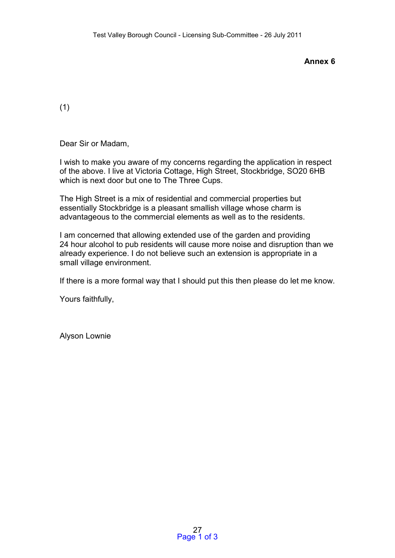**Annex 6** 

(1)

Dear Sir or Madam,

I wish to make you aware of my concerns regarding the application in respect of the above. I live at Victoria Cottage, High Street, Stockbridge, SO20 6HB which is next door but one to The Three Cups.

The High Street is a mix of residential and commercial properties but essentially Stockbridge is a pleasant smallish village whose charm is advantageous to the commercial elements as well as to the residents.

I am concerned that allowing extended use of the garden and providing 24 hour alcohol to pub residents will cause more noise and disruption than we already experience. I do not believe such an extension is appropriate in a small village environment.

If there is a more formal way that I should put this then please do let me know.

Yours faithfully,

Alyson Lownie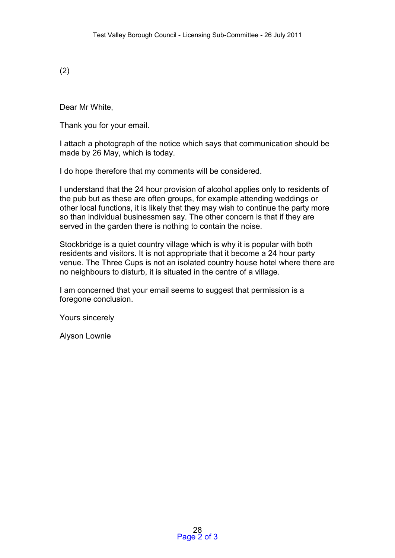(2)

Dear Mr White,

Thank you for your email.

I attach a photograph of the notice which says that communication should be made by 26 May, which is today.

I do hope therefore that my comments will be considered.

I understand that the 24 hour provision of alcohol applies only to residents of the pub but as these are often groups, for example attending weddings or other local functions, it is likely that they may wish to continue the party more so than individual businessmen say. The other concern is that if they are served in the garden there is nothing to contain the noise.

Stockbridge is a quiet country village which is why it is popular with both residents and visitors. It is not appropriate that it become a 24 hour party venue. The Three Cups is not an isolated country house hotel where there are no neighbours to disturb, it is situated in the centre of a village.

I am concerned that your email seems to suggest that permission is a foregone conclusion.

Yours sincerely

Alyson Lownie